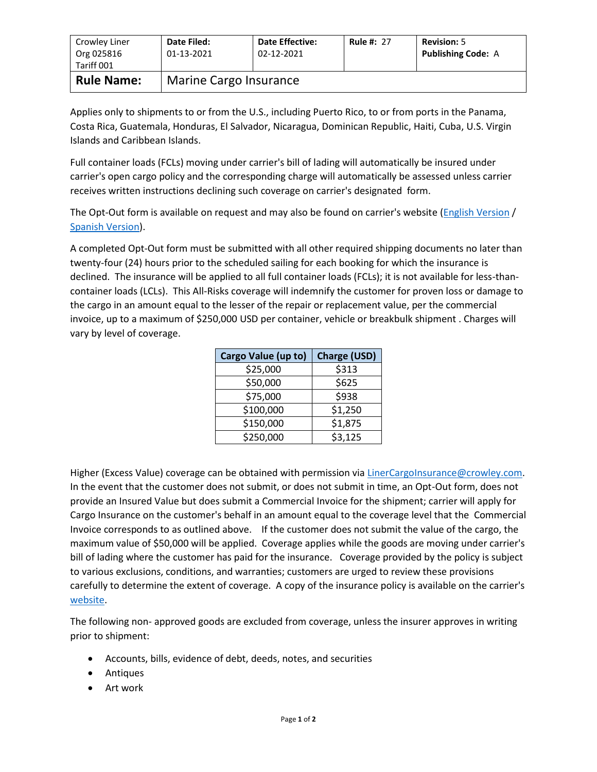| Crowley Liner<br>Org 025816<br>Tariff 001 | Date Filed:<br>01-13-2021 | <b>Date Effective:</b><br>02-12-2021 | <b>Rule #: 27</b> | <b>Revision: 5</b><br><b>Publishing Code: A</b> |  |
|-------------------------------------------|---------------------------|--------------------------------------|-------------------|-------------------------------------------------|--|
| <b>Rule Name:</b>                         | Marine Cargo Insurance    |                                      |                   |                                                 |  |

Applies only to shipments to or from the U.S., including Puerto Rico, to or from ports in the Panama, Costa Rica, Guatemala, Honduras, El Salvador, Nicaragua, Dominican Republic, Haiti, Cuba, U.S. Virgin Islands and Caribbean Islands.

Full container loads (FCLs) moving under carrier's bill of lading will automatically be insured under carrier's open cargo policy and the corresponding charge will automatically be assessed unless carrier receives written instructions declining such coverage on carrier's designated form.

The Opt-Out form is available on request and may also be found on carrier's website [\(English Version](http://www.crowley.com/content/download/31386/232069/version/1/file/Cargo+Insurance+Opt-Out+UPDATED+-+ENGLISH.PDF) / [Spanish Version\)](http://www.crowley.com/content/download/31385/232065/version/1/file/Formulario+de++Rechazo+de+Seguro+de+Carga+REVISADO.PDF).

A completed Opt-Out form must be submitted with all other required shipping documents no later than twenty-four (24) hours prior to the scheduled sailing for each booking for which the insurance is declined. The insurance will be applied to all full container loads (FCLs); it is not available for less-thancontainer loads (LCLs). This All-Risks coverage will indemnify the customer for proven loss or damage to the cargo in an amount equal to the lesser of the repair or replacement value, per the commercial invoice, up to a maximum of \$250,000 USD per container, vehicle or breakbulk shipment . Charges will vary by level of coverage.

| Cargo Value (up to) | <b>Charge (USD)</b> |  |
|---------------------|---------------------|--|
| \$25,000            | \$313               |  |
| \$50,000            | \$625               |  |
| \$75,000            | \$938               |  |
| \$100,000           | \$1,250             |  |
| \$150,000           | \$1,875             |  |
| \$250,000           | \$3,125             |  |

Higher (Excess Value) coverage can be obtained with permission vi[a LinerCargoInsurance@crowley.com.](mailto:LinerCargoInsurance@crowley.com) In the event that the customer does not submit, or does not submit in time, an Opt-Out form, does not provide an Insured Value but does submit a Commercial Invoice for the shipment; carrier will apply for Cargo Insurance on the customer's behalf in an amount equal to the coverage level that the Commercial Invoice corresponds to as outlined above. If the customer does not submit the value of the cargo, the maximum value of \$50,000 will be applied. Coverage applies while the goods are moving under carrier's bill of lading where the customer has paid for the insurance. Coverage provided by the policy is subject to various exclusions, conditions, and warranties; customers are urged to review these provisions carefully to determine the extent of coverage. A copy of the insurance policy is available on the carrier's [website.](http://www.crowley.com/content/download/17988/122094/version/1/file/Caribbean+Cargo+Insurance+Policy.pdf)

The following non- approved goods are excluded from coverage, unless the insurer approves in writing prior to shipment:

- Accounts, bills, evidence of debt, deeds, notes, and securities
- Antiques
- Art work